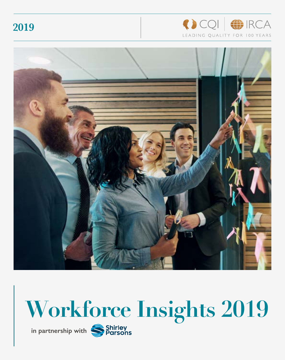**2019**







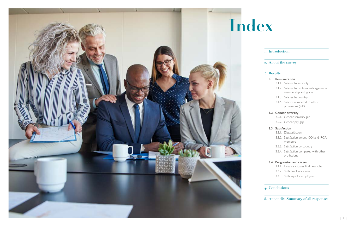# 1. Introduction

# 2. About the survey

### **3.1. Remuneration**

- 3.1.1. Salaries by seniority
- 3.1.2. Salaries by professional organisation membership and grade
- 3.1.3. Salaries by country
- 3.1.4. Salaries compared to other professions (UK)

## **3.2. Gender diversity**

- 3.2.1. Gender seniority gap
- 3.2.2. Gender pay gap

### **3.3. Satisfaction**





- 3.3.1. Dissatisfaction
- 3.3.2. Satisfaction among CQI and IRCA members
- 3.3.3. Satisfaction by country
- 3.3.4. Satisfaction compared with other professions

# **3.4. Progression and career**

- 3.4.1. How candidates find new jobs
- 3.4.2. Skills employers want
- 3.4.3. Skills gaps for employers

# 4. Conclusions

5. Appendix: Summary of all responses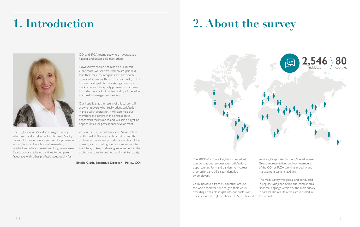The CQI's second Workforce Insights survey, which we conducted in partnership with Shirley Parsons Ltd, again paints a picture of a profession across the world which is well rewarded, satisfied, and offers a varied and long-term career. Satisfaction and salaries continue to compare favourably with other professions, especially for

CQI and IRCA members, who on average are happier and better paid than others.

However, we should not rest on our laurels. Once more, we see that women are paid less than their male counterparts and are poorly represented among the most senior quality roles. Employers struggle to plug skills gaps in their workforce, and the quality profession is at times frustrated by a lack of understanding of the value that quality management delivers.

Our hope is that the results of this survey will show employers what really drives satisfaction in the quality profession. It will also help our members and others in the profession to benchmark their salaries, and will shine a light on opportunities for professional development.

2019 is the CQI's centenary year. As we reflect on the past 100 years for the institute and the profession, this survey provides a snapshot of the present, and can help guide us as we move into the future, to keep delivering improvement in the profession, value to business, and trust to society.

# **1. Introduction 2. About the survey**



The 2019 Workforce Insights survey asked questions about remuneration, satisfaction, opportunities for – and barriers to – career progression, and skills gaps identified by employers.

2,546 individuals from 80 countries around the world took the time to give their views, providing a valuable insight into our profession. These included CQI members, IRCA certificated

auditors, Corporate Partners, Special Interest Group representatives, and non-members of the CQI or IRCA working in quality and management systems auditing.

The main survey was global and conducted in English. Our Japan office also conducted a Japanese language version of the main survey in parallel. The results of this are included in

this report.



**Estelle Clark, Executive Director – Policy, CQI**

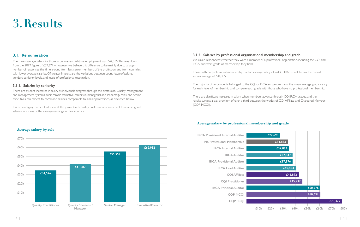# **3.Results**

# **3.1. Remuneration**

The mean average salary for those in permanent full-time employment was £44,385. This was down from the 2017 figure of £57,677 – however we believe this difference to be mainly due to a larger number of responses this time around from less senior members of the profession, and from countries with lower average salaries. Of greater interest are the variations between countries, professions, genders, seniority levels, and levels of professional recognition.

### **3.1.1. Salaries by seniority**

Those with no professional membership had an average salary of just £33,863 – well below the overall survey average of £44,385.

There are evident increases in salary as individuals progress through the profession. Quality management and management systems audit remain attractive careers in managerial and leadership roles, and senior executives can expect to command salaries comparable to similar professions, as discussed below.

It is encouraging to note that, even at the junior levels, quality professionals can expect to receive good salaries, in excess of the average earnings in their country.

# **3.1.2. Salaries by professional organisational membership and grade**

We asked respondents whether they were a member of a professional organisation, including the CQI and IRCA, and what grade of membership they held.

The majority of respondents belonged to the CQI or IRCA, so we can show the mean average global salary for each level of membership and compare each grade with those who have no professional membership.

There are significant increases in salary when members advance through CQI|IRCA grades, and the results suggest a pay premium of over a third between the grades of CQI Affiliate and Chartered Member (CQP MCQI).

# **Average salary by role Quality Practitioner Quality Specialist/ Manager Senior Manager Executive/Director £70k £60k £50k £40k £30k £20k £10k £34,576 £41,587 £55,559 £62,932**

# **Average salary by professional membership and grade**

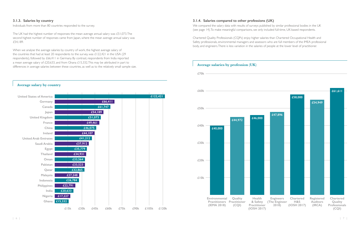## **3.1.3. Salaries by country**

Individuals from more than 80 countries responded to the survey.

The UK had the highest number of responses: the mean average annual salary was £51,073. The second highest number of responses came from Japan, where the mean average annual salary was £54,189.

When we analyse the average salaries by country of work, the highest average salary of the countries that had at least 20 respondents to the survey, was £122,421 in the USA (29 respondents), followed by £66,411 in Germany. By contrast, respondents from India reported a mean average salary of £20,633, and from Ghana £15,332. This may be attributed in part to differences in average salaries between these countries, as well as to the relatively small sample size.

# **3.1.4. Salaries compared to other professions (UK)**

We compared the salary data with results of surveys published by similar professional bodies in the UK (see page 14). To make meaningful comparisons, we only included full-time, UK-based respondents.

Chartered Quality Professionals (CQPs) enjoy higher salaries than Chartered Occupational Health and Safety professionals, environmental managers and assessors who are full members of the IMEA professional body, and engineers. There is less variation in the salaries of people at the lower level of practitioner.

### **Average salary by country**



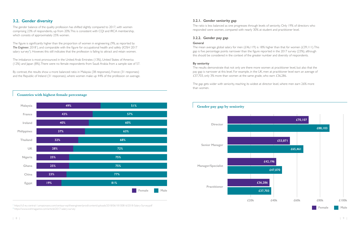# **3.2. Gender diversity**

The figure is significantly higher than the proportion of women in engineering (9%, as reported by **The Engineer**, 2018'), and comparable with the figure for occupational health and safety (IOSH 2017 salary survey $^2$ ). However, this still indicates that the profession is failing to attract and retain women.

The gender balance of the quality profession has shifted slightly compared to 2017, with women comprising 23% of respondents, up from 20%. This is consistent with CQI and IRCA membership, which consists of approximately 25% women.

The imbalance is most pronounced in the United Arab Emirates (13%), United States of America (12%) and Japan (8%). There were no female respondents from Saudi Arabia from a sample size of 57. The mean average global salary for men  $(£46,119)$  is 18% higher than that for women  $(£39,111)$ . This gap is five percentage points narrower than the figure reported in the 2017 survey (23%), although this should be considered in the context of the greater number and diversity of respondents.

By contrast, the results show a more balanced ratio in Malaysia (38 responses), France (31 responses) and the Republic of Ireland (31 responses), where women make up 44% of the profession on average.

### **3.2.1. Gender seniority gap**

The ratio is less balanced as one progresses through levels of seniority. Only 19% of directors who responded were women, compared with nearly 30% at student and practitioner level.

## **3.2.2. Gender pay gap**

### **General**

### **By seniority**

The results demonstrate that not only are there more women at practitioner level, but also that the pay gap is narrower at this level. For example, in the UK, men at practitioner level earn an average of £37,703, only 3% more than women at the same grade, who earn £36,286.

The gap gets wider with seniority, reaching its widest at director level, where men earn 26% more than women.

1 https://s3-eu-central-1.amazonaws.com/centaur-wp/theengineer/prod/content/uploads/2018/06/18100816/2018-Salary-Survey.pdf 2 https://www.ioshmagazine.com/article/2017-salary-survey

## **Countries with highest female percentage**



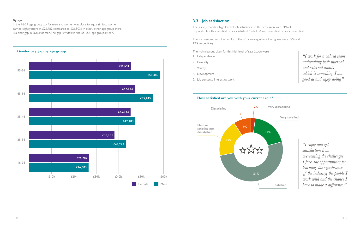# **3.3. Job satisfaction**

The survey reveals a high level of job satisfaction in the profession, with 71% of respondents either satisfied or very satisfied. Only 11% are dissatisfied or very dissatisfied.

This is consistent with the results of the 2017 survey, where the figures were 72% and 12% respectively.

The main reasons given for this high level of satisfaction were:

In the 16-24 age group, pay for men and women was close to equal (in fact, women earned slightly more at £26,782 compared to £26,503). In every other age group there is a clear gap in favour of men. The gap is widest in the 55-65+ age group, at 28%.

- 1. Independence
- 2. Flexibility
- 3. Variety
- 4. Development
- 5. Job content / interesting work

## **By age**

# **How satisfied are you with your current role?**



*"I work for a valued team undertaking both internal and external audits, which is something I am good at and enjoy doing."*

*"I enjoy and get satisfaction from overcoming the challenges I face, the opportunities for learning, the significance of the industry, the people I work with and the chance I have to make a difference."*

**Very dissatisfied**

**Very satisfied**

**Satisfied**

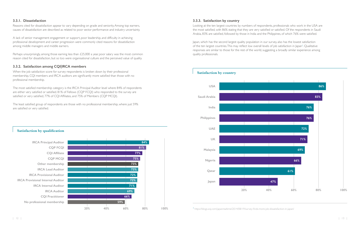## **3.3.1. Dissatisfaction**

Reasons cited for dissatisfaction appear to vary depending on grade and seniority. Among top earners, causes of dissatisfaction are described as related to poor sector performance and industry uncertainty.

Perhaps unsurprisingly, among those earning less than £25,000 a year, poor salary was the most common reason cited for dissatisfaction, but so too were organisational culture and the perceived value of quality.

A lack of senior management engagement or support, poor leadership, and difficulty in achieving professional development and career progression were commonly cited reasons for dissatisfaction among middle managers and middle earners.

# **3.3.2. Satisfaction among CQI|IRCA members**

When the job satisfaction score for survey respondents is broken down by their professional membership, CQI members and IRCA auditors are significantly more satisfied than those with no professional membership.

The most satisfied membership category is the IRCA Principal Auditor level where 84% of respondents are either very satisfied or satisfied. 81% of Fellows (CQP FCQI) who responded to the survey are satisfied or very satisfied, 77% of CQI Affiliates, and 75% of Members (CQP MCQI).

The least satisfied group of respondents are those with no professional membership, where just 59% are satisfied or very satisfied.

# **3.3.3. Satisfaction by country**

Looking at the ten largest countries by numbers of respondents, professionals who work in the USA are the most satisfied, with 86% stating that they are very satisfied or satisfied. Of the respondents in Saudi Arabia, 83% are satisfied, followed by those in India and the Philippines, of which 76% were satisfied.

Japan, which has the second largest quality population in our survey, also has the lowest satisfaction of the ten largest countries. This may reflect low overall levels of job satisfaction in Japan<sup>3</sup>. Qualitative responses are similar to those for the rest of the world, suggesting a broadly similar experience among quality professionals.

**Satisfaction by qualification**

### **IRCA Provisional Internal Auditor IRCA Internal Auditor IRCA Auditor CQI Practitioner No professional membership CQI Affiliate CQP MCQI Other membership IRCA Lead Auditor IRCA Provisional Auditor IRCA Principal Auditor CQP FCQI 84% 20% 40% 60% 80% 100% 81% 77% 75% 73% 73% 72% 72% 71% 69% 66% 59%**

# **Satisfaction by country**



<sup>3</sup> https://blogs.wsj.com/japanrealtime/2014/08/19/survey-finds-more-job-dissatisfaction-in-japan/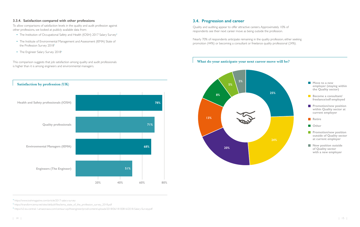## **3.3.4. Satisfaction compared with other professions**

To allow comparisons of satisfaction levels in the quality and audit profession against other professions, we looked at publicly available data from:

- The Institution of Occupational Safety and Health (IOSH) 2017 Salary Survey<sup>4</sup>
- The Institute of Environmental Management and Assessment (IEMA) State of the Profession Survey 2018<sup>5</sup>
- The Engineer Salary Survey 2018<sup>6</sup>

This comparison suggests that job satisfaction among quality and audit professionals is higher than it is among engineers and environmental managers.

# **3.4. Progression and career**

Quality and auditing appear to offer attractive careers. Approximately 10% of respondents see their next career move as being outside the profession.

Nearly 70% of respondents anticipate remaining in the quality profession, either seeking promotion (44%) or becoming a consultant or freelance quality professional (24%).

4 https://www.ioshmagazine.com/article/2017-salary-survey

<sup>5</sup> https://transform.iema.net/sites/default/files/iema\_state\_of\_the\_profession\_survey\_2018.pdf

6 https://s3-eu-central-1.amazonaws.com/centaur-wp/theengineer/prod/content/uploads/2018/06/18100816/2018-Salary-Survey.pdf

# **Satisfaction by profession (UK) Health and Safety professionals (IOSH) Quality professionals Environmental Managers (IEMA) Engineers (The Engineer) 20% 40% 60% 80% 78% 71% 68% 51%**

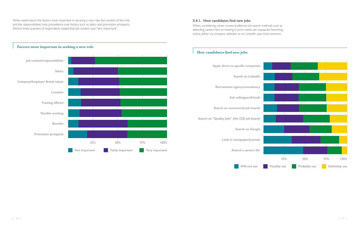When considering career moves, traditional job search methods such as attending careers fairs or looking in print media are unpopular. Searching online, either via company websites or on LinkedIn, was most common.



When asked about the factors most important in securing a new role, the content of the role and the responsibilities took precedence over factors such as salary and promotion prospects. Almost three quarters of respondents stated that job content was "very important".



### **Factors most important in seeking a new role**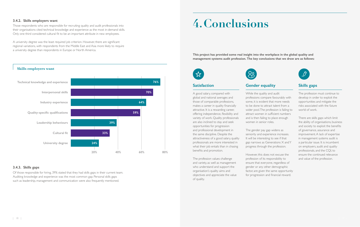### **3.4.2. Skills employers want**

Those respondents who are responsible for recruiting quality and audit professionals into their organisations cited technical knowledge and experience as the most in-demand skills. Only one third considered cultural fit to be an important attribute in new employees.

A university degree was the least required job criterion. However, there are significant regional variations, with respondents from the Middle East and Asia more likely to require a university degree than respondents in Europe or North America.

### **3.4.3. Skills gaps**

Of those responsible for hiring, 39% stated that they had skills gaps in their current team. Auditing knowledge and experience was the most common gap. Personal skills gaps such as leadership, management and communication were also frequently mentioned.

### **Skills employers want**



# **4.Conclusions**

**This project has provided some real insight into the workplace in the global quality and management systems audit profession. The key conclusions that we draw are as follows:**





# **Satisfaction**

A good salary, compared with global and national averages and those of comparable professions, makes a career in quality financially attractive. It is a rewarding career, offering independence, flexibility and variety of work. Quality professionals are also inclined to stay and seek opportunities for progression and professional development in the same discipline. Despite the attractiveness of a good salary, quality professionals are more interested in what their job entails than in chasing benefits and promotion.

The profession values challenge and variety, as well as management who understand and support the organisation's quality aims and objectives and appreciate the value of quality.

# **Gender equality**

While the quality and audit professions compare favourably with some, it is evident that more needs to be done to attract talent from a wider pool. The profession is failing to attract women in sufficient numbers and is then failing to place enough women in senior roles.

The gender pay gap widens as seniority and experience increases. It will be interesting to see if that gap narrows as Generations X and Y progress through the profession.

However, this does not excuse the profession of its responsibility to ensure that everyone, regardless of gender or any other demographic factor, are given the same opportunity for progression and financial reward.



# **Skills gaps**

The profession must continue to develop in order to exploit the opportunities and mitigate the risks associated with the future world of work.

There are skills gaps which limit the ability of organisations, business and society to exploit the benefits of governance, assurance and improvement. A lack of expertise in management systems audit is a particular issue. It is incumbent on employers, audit and quality professionals, and the CQI, to ensure the continued relevance and value of the profession.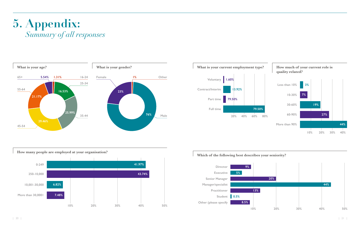# **5. Appendix:** *Summary of all responses*











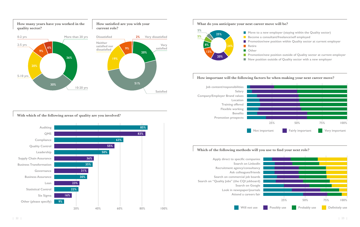**How many years have you worked in the quality sector?**

**How satisfied are you with your** 

**current role?**

**With which of the following areas of quality are you involved?**

## **Which of the following methods will you use to find your next role?**



**Promotion/new position outside of Quality sector at current employer New position outside of Quality sector with a new employer**













- **Move to a new employer (staying within the Quality sector)** 
	- **Become a consultant/freelance/self employed**
- **Promotion/new position within Quality sector at current employer**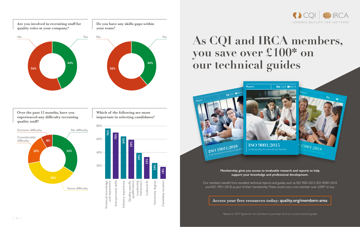**Are you involved in recruiting staff for quality roles at your company?**

> **Which of the following are most important in selecting candidates?**

**Over the past 12 months, have you experienced any difficulty recruiting quality staff?**







Our members benefit from excellent technical reports and guides, such as ISO 9001:2015, ISO 45001:2018 and ISO 19011:2018, as part of their membership. These would cost a non-member over £200\* to buy.



# **As CQI and IRCA members, you save over £100\* on our technical guides**

**Membership gives you access to invaluable research and reports to help support your knowledge and professional development.**



**Access your free resources today: quality.org/members-area**